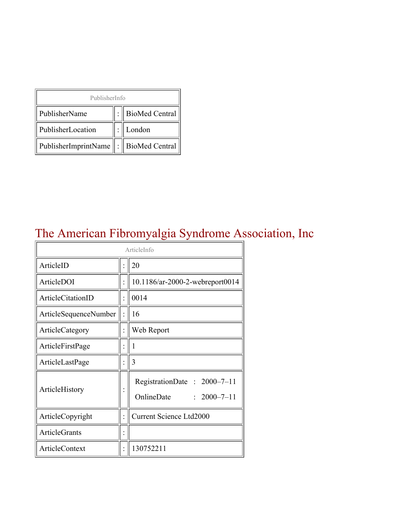| PublisherInfo                               |  |                    |  |  |
|---------------------------------------------|--|--------------------|--|--|
| PublisherName                               |  | :   BioMed Central |  |  |
| PublisherLocation                           |  | London             |  |  |
| PublisherImprintName    :    BioMed Central |  |                    |  |  |

# The American Fibromyalgia Syndrome Association, Inc

| ArticleInfo           |  |                                                                |
|-----------------------|--|----------------------------------------------------------------|
| ArticleID             |  | 20                                                             |
| ArticleDOI            |  | 10.1186/ar-2000-2-webreport0014                                |
| ArticleCitationID     |  | 0014                                                           |
| ArticleSequenceNumber |  | 16                                                             |
| ArticleCategory       |  | Web Report                                                     |
| ArticleFirstPage      |  | 1                                                              |
| ArticleLastPage       |  | 3                                                              |
| ArticleHistory        |  | RegistrationDate: 2000-7-11<br>OnlineDate<br>$: 2000 - 7 - 11$ |
| ArticleCopyright      |  | <b>Current Science Ltd2000</b>                                 |
| <b>ArticleGrants</b>  |  |                                                                |
| <b>ArticleContext</b> |  | 130752211                                                      |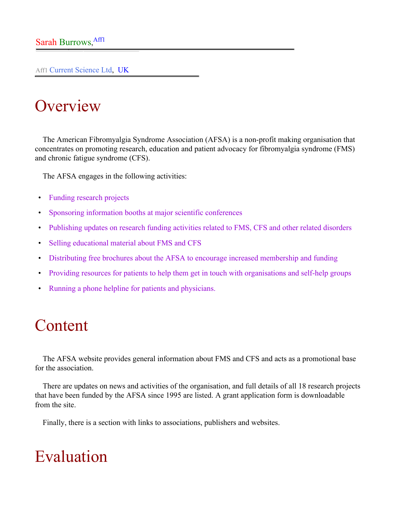Aff1 Current Science Ltd, UK

# **Overview**

The American Fibromyalgia Syndrome Association (AFSA) is a non-profit making organisation that concentrates on promoting research, education and patient advocacy for fibromyalgia syndrome (FMS) and chronic fatigue syndrome (CFS).

The AFSA engages in the following activities:

- Funding research projects
- Sponsoring information booths at major scientific conferences
- Publishing updates on research funding activities related to FMS, CFS and other related disorders
- Selling educational material about FMS and CFS
- Distributing free brochures about the AFSA to encourage increased membership and funding
- Providing resources for patients to help them get in touch with organisations and self-help groups
- Running a phone helpline for patients and physicians.

### Content

The AFSA website provides general information about FMS and CFS and acts as a promotional base for the association.

There are updates on news and activities of the organisation, and full details of all 18 research projects that have been funded by the AFSA since 1995 are listed. A grant application form is downloadable from the site.

Finally, there is a section with links to associations, publishers and websites.

## Evaluation